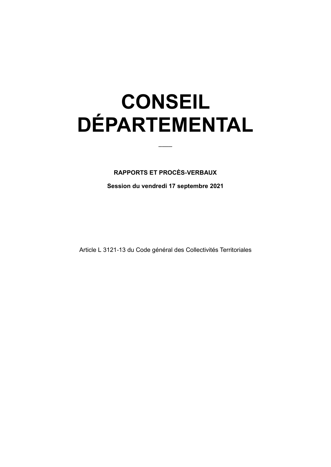# **CONSEIL DÉPARTEMENTAL**

#### **RAPPORTS ET PROCÈS-VERBAUX**

Session du vendredi 17 septembre 2021

Article L 3121-13 du Code général des Collectivités Territoriales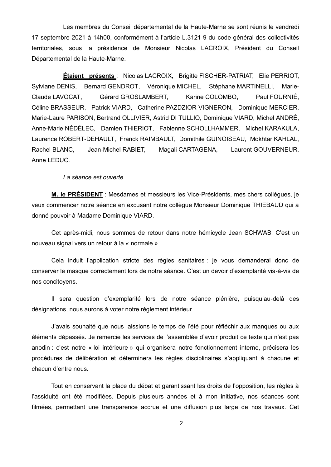Les membres du Conseil départemental de la Haute-Marne se sont réunis le vendredi 17 septembre 2021 à 14h00, conformément à l'article L.3121-9 du code général des collectivités territoriales, sous la présidence de Monsieur Nicolas LACROIX, Président du Conseil Départemental de la Haute-Marne.

**Étaient présents** : Nicolas LACROIX, Brigitte FISCHER-PATRIAT, Elie PERRIOT, Sylviane DENIS. Bernard GENDROT. Véronique MICHEL. Stéphane MARTINELLI. Marie-Claude LAVOCAT, Gérard GROSLAMBERT, Karine COLOMBO, Paul FOURNIÉ. Céline BRASSEUR, Patrick VIARD, Catherine PAZDZIOR-VIGNERON, Dominique MERCIER, Marie-Laure PARISON, Bertrand OLLIVIER, Astrid DI TULLIO, Dominique VIARD, Michel ANDRÉ, Anne-Marie NÉDÉLEC, Damien THIERIOT, Fabienne SCHOLLHAMMER, Michel KARAKULA, Laurence ROBERT-DEHAULT, Franck RAIMBAULT, Domithile GUINOISEAU, Mokhtar KAHLAL, Jean-Michel RABIET, Magali CARTAGENA, Rachel BLANC. Laurent GOUVERNEUR. Anne LEDUC.

La séance est ouverte.

M. le PRÉSIDENT : Mesdames et messieurs les Vice-Présidents, mes chers collègues, je veux commencer notre séance en excusant notre collègue Monsieur Dominique THIEBAUD qui a donné pouvoir à Madame Dominique VIARD.

Cet après-midi, nous sommes de retour dans notre hémicycle Jean SCHWAB. C'est un nouveau signal vers un retour à la « normale ».

Cela induit l'application stricte des règles sanitaires : je vous demanderai donc de conserver le masque correctement lors de notre séance. C'est un devoir d'exemplarité vis-à-vis de nos concitoyens.

Il sera question d'exemplarité lors de notre séance plénière, puisqu'au-delà des désignations, nous aurons à voter notre règlement intérieur.

J'avais souhaité que nous laissions le temps de l'été pour réfléchir aux manques ou aux éléments dépassés. Je remercie les services de l'assemblée d'avoir produit ce texte qui n'est pas anodin : c'est notre « loi intérieure » qui organisera notre fonctionnement interne, précisera les procédures de délibération et déterminera les règles disciplinaires s'appliquant à chacune et chacun d'entre nous.

Tout en conservant la place du débat et garantissant les droits de l'opposition, les règles à l'assiduité ont été modifiées. Depuis plusieurs années et à mon initiative, nos séances sont filmées, permettant une transparence accrue et une diffusion plus large de nos travaux. Cet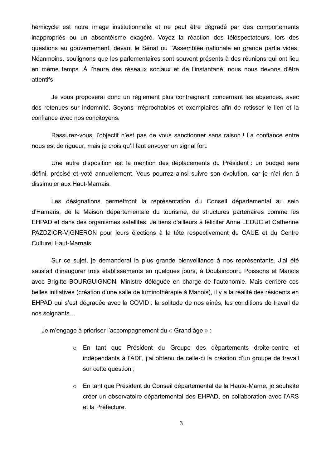hémicycle est notre image institutionnelle et ne peut être dégradé par des comportements inappropriés ou un absentéisme exagéré. Voyez la réaction des téléspectateurs, lors des questions au gouvernement, devant le Sénat ou l'Assemblée nationale en grande partie vides. Néanmoins, soulignons que les parlementaires sont souvent présents à des réunions qui ont lieu en même temps. À l'heure des réseaux sociaux et de l'instantané, nous nous devons d'être attentifs.

Je vous proposerai donc un règlement plus contraignant concernant les absences, avec des retenues sur indemnité. Soyons irréprochables et exemplaires afin de retisser le lien et la confiance avec nos concitoyens.

Rassurez-vous, l'objectif n'est pas de vous sanctionner sans raison ! La confiance entre nous est de riqueur, mais je crois qu'il faut envoyer un signal fort.

Une autre disposition est la mention des déplacements du Président : un budget sera défini, précisé et voté annuellement. Vous pourrez ainsi suivre son évolution, car je n'ai rien à dissimuler aux Haut-Marnais.

Les désignations permettront la représentation du Conseil départemental au sein d'Hamaris, de la Maison départementale du tourisme, de structures partenaires comme les EHPAD et dans des organismes satellites. Je tiens d'ailleurs à féliciter Anne LEDUC et Catherine PAZDZIOR-VIGNERON pour leurs élections à la tête respectivement du CAUE et du Centre **Culturel Haut-Marnais.** 

Sur ce sujet, je demanderai la plus grande bienveillance à nos représentants. J'ai été satisfait d'inaugurer trois établissements en quelques jours, à Doulaincourt, Poissons et Manois avec Brigitte BOURGUIGNON, Ministre déléguée en charge de l'autonomie. Mais derrière ces belles initiatives (création d'une salle de luminothérapie à Manois), il y a la réalité des résidents en EHPAD qui s'est dégradée avec la COVID : la solitude de nos aînés, les conditions de travail de nos soignants...

Je m'engage à prioriser l'accompagnement du « Grand âge » :

- o En tant que Président du Groupe des départements droite-centre et indépendants à l'ADF, j'ai obtenu de celle-ci la création d'un groupe de travail sur cette question;
- En tant que Président du Conseil départemental de la Haute-Marne, je souhaite créer un observatoire départemental des EHPAD, en collaboration avec l'ARS et la Préfecture.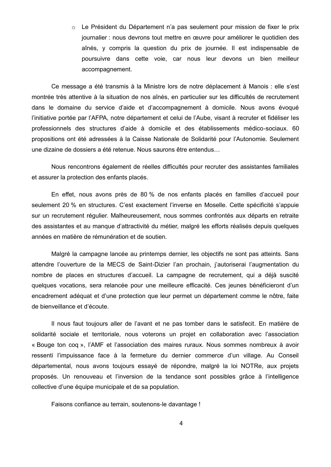o Le Président du Département n'a pas seulement pour mission de fixer le prix journalier : nous devrons tout mettre en œuvre pour améliorer le quotidien des aînés, y compris la question du prix de journée. Il est indispensable de poursuivre dans cette voie, car nous leur devons un bien meilleur accompagnement.

Ce message a été transmis à la Ministre lors de notre déplacement à Manois : elle s'est montrée très attentive à la situation de nos aînés, en particulier sur les difficultés de recrutement dans le domaine du service d'aide et d'accompagnement à domicile. Nous avons évoqué l'initiative portée par l'AFPA, notre département et celui de l'Aube, visant à recruter et fidéliser les professionnels des structures d'aide à domicile et des établissements médico-sociaux. 60 propositions ont été adressées à la Caisse Nationale de Solidarité pour l'Autonomie. Seulement une dizaine de dossiers a été retenue. Nous saurons être entendus

Nous rencontrons également de réelles difficultés pour recruter des assistantes familiales et assurer la protection des enfants placés.

En effet, nous avons près de 80 % de nos enfants placés en familles d'accueil pour seulement 20 % en structures. C'est exactement l'inverse en Moselle. Cette spécificité s'appuie sur un recrutement régulier. Malheureusement, nous sommes confrontés aux départs en retraite des assistantes et au manque d'attractivité du métier, malgré les efforts réalisés depuis quelques années en matière de rémunération et de soutien.

Malgré la campagne lancée au printemps dernier, les objectifs ne sont pas atteints. Sans attendre l'ouverture de la MECS de Saint-Dizier l'an prochain, j'autoriserai l'augmentation du nombre de places en structures d'accueil. La campagne de recrutement, qui a déjà suscité quelques vocations, sera relancée pour une meilleure efficacité. Ces jeunes bénéficieront d'un encadrement adéquat et d'une protection que leur permet un département comme le nôtre, faite de bienveillance et d'écoute.

Il nous faut toujours aller de l'avant et ne pas tomber dans le satisfecit. En matière de solidarité sociale et territoriale, nous voterons un projet en collaboration avec l'association « Bouge ton cog », l'AMF et l'association des maires ruraux. Nous sommes nombreux à avoir ressenti l'impuissance face à la fermeture du dernier commerce d'un village. Au Conseil départemental, nous avons toujours essayé de répondre, malgré la loi NOTRe, aux projets proposés. Un renouveau et l'inversion de la tendance sont possibles grâce à l'intelligence collective d'une équipe municipale et de sa population.

Faisons confiance au terrain, soutenons-le davantage !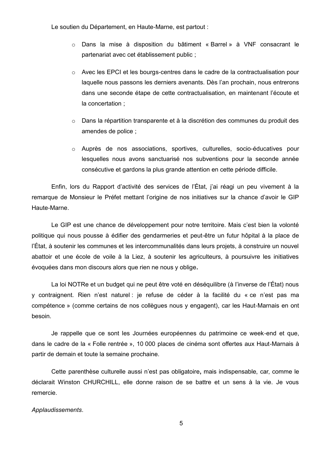Le soutien du Département, en Haute-Marne, est partout :

- o Dans la mise à disposition du bâtiment « Barrel » à VNF consacrant le partenariat avec cet établissement public ;
- Avec les EPCI et les bourgs-centres dans le cadre de la contractualisation pour laquelle nous passons les derniers avenants. Dès l'an prochain, nous entrerons dans une seconde étape de cette contractualisation, en maintenant l'écoute et la concertation :
- $\circ$  Dans la répartition transparente et à la discrétion des communes du produit des amendes de police :
- o Auprès de nos associations, sportives, culturelles, socio-éducatives pour lesquelles nous avons sanctuarisé nos subventions pour la seconde année consécutive et gardons la plus grande attention en cette période difficile.

Enfin, lors du Rapport d'activité des services de l'État, i'ai réagi un peu vivement à la remarque de Monsieur le Préfet mettant l'origine de nos initiatives sur la chance d'avoir le GIP Haute-Marne.

Le GIP est une chance de développement pour notre territoire. Mais c'est bien la volonté politique qui nous pousse à édifier des gendarmeries et peut-être un futur hôpital à la place de l'État, à soutenir les communes et les intercommunalités dans leurs projets, à construire un nouvel abattoir et une école de voile à la Liez, à soutenir les agriculteurs, à poursuivre les initiatives évoquées dans mon discours alors que rien ne nous y oblige.

La loi NOTRe et un budget qui ne peut être voté en déséquilibre (à l'inverse de l'État) nous y contraignent. Rien n'est naturel : je refuse de céder à la facilité du « ce n'est pas ma compétence » (comme certains de nos collègues nous y engagent), car les Haut-Marnais en ont besoin.

Je rappelle que ce sont les Journées européennes du patrimoine ce week-end et que. dans le cadre de la « Folle rentrée », 10 000 places de cinéma sont offertes aux Haut-Marnais à partir de demain et toute la semaine prochaine.

Cette parenthèse culturelle aussi n'est pas obligatoire, mais indispensable, car, comme le déclarait Winston CHURCHILL, elle donne raison de se battre et un sens à la vie. Je vous remercie

#### Applaudissements.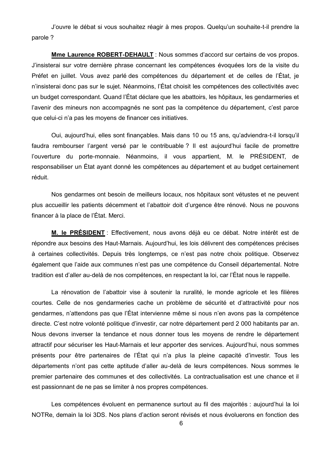J'ouvre le débat si vous souhaitez réagir à mes propos. Quelqu'un souhaite-t-il prendre la parole?

Mme Laurence ROBERT-DEHAULT : Nous sommes d'accord sur certains de vos propos. J'insisterai sur votre dernière phrase concernant les compétences évoquées lors de la visite du Préfet en juillet. Vous avez parlé des compétences du département et de celles de l'État, je n'insisterai donc pas sur le sujet. Néanmoins, l'État choisit les compétences des collectivités avec un budget correspondant. Quand l'État déclare que les abattoirs, les hôpitaux, les gendarmeries et l'avenir des mineurs non accompagnés ne sont pas la compétence du département, c'est parce que celui-ci n'a pas les moyens de financer ces initiatives.

Oui, aujourd'hui, elles sont finançables. Mais dans 10 ou 15 ans, qu'adviendra-t-il lorsqu'il faudra rembourser l'argent versé par le contribuable ? Il est aujourd'hui facile de promettre l'ouverture du porte-monnaie. Néanmoins, il vous appartient, M. le PRÉSIDENT, de responsabiliser un État ayant donné les compétences au département et au budget certainement réduit.

Nos gendarmes ont besoin de meilleurs locaux, nos hôpitaux sont vétustes et ne peuvent plus accueillir les patients décemment et l'abattoir doit d'urgence être rénové. Nous ne pouvons financer à la place de l'État. Merci.

M. le PRÉSIDENT : Effectivement, nous avons déjà eu ce débat. Notre intérêt est de répondre aux besoins des Haut-Marnais. Aujourd'hui, les lois délivrent des compétences précises à certaines collectivités. Depuis très longtemps, ce n'est pas notre choix politique. Observez également que l'aide aux communes n'est pas une compétence du Conseil départemental. Notre tradition est d'aller au-delà de nos compétences, en respectant la loi, car l'État nous le rappelle.

La rénovation de l'abattoir vise à soutenir la ruralité, le monde agricole et les filières courtes. Celle de nos gendarmeries cache un problème de sécurité et d'attractivité pour nos gendarmes, n'attendons pas que l'État intervienne même si nous n'en avons pas la compétence directe. C'est notre volonté politique d'investir, car notre département perd 2 000 habitants par an. Nous devons inverser la tendance et nous donner tous les moyens de rendre le département attractif pour sécuriser les Haut-Marnais et leur apporter des services. Aujourd'hui, nous sommes présents pour être partenaires de l'État qui n'a plus la pleine capacité d'investir. Tous les départements n'ont pas cette aptitude d'aller au-delà de leurs compétences. Nous sommes le premier partenaire des communes et des collectivités. La contractualisation est une chance et il est passionnant de ne pas se limiter à nos propres compétences.

Les compétences évoluent en permanence surtout au fil des maiorités : aujourd'hui la loi NOTRe, demain la loi 3DS. Nos plans d'action seront révisés et nous évoluerons en fonction des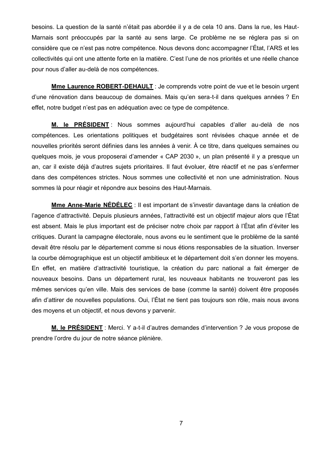besoins. La question de la santé n'était pas abordée il y a de cela 10 ans. Dans la rue, les Haut-Marnais sont préoccupés par la santé au sens large. Ce problème ne se réglera pas si on considère que ce n'est pas notre compétence. Nous devons donc accompagner l'État, l'ARS et les collectivités qui ont une attente forte en la matière. C'est l'une de nos priorités et une réelle chance pour nous d'aller au-delà de nos compétences.

Mme Laurence ROBERT-DEHAULT: Je comprends votre point de vue et le besoin urgent d'une rénovation dans beaucoup de domaines. Mais qu'en sera-t-il dans quelques années ? En effet, notre budget n'est pas en adéquation avec ce type de compétence.

M. le PRÉSIDENT : Nous sommes aujourd'hui capables d'aller au-delà de nos compétences. Les orientations politiques et budgétaires sont révisées chaque année et de nouvelles priorités seront définies dans les années à venir. À ce titre, dans quelques semaines ou quelques mois, je vous proposerai d'amender « CAP 2030 », un plan présenté il y a presque un an, car il existe déjà d'autres sujets prioritaires. Il faut évoluer, être réactif et ne pas s'enfermer dans des compétences strictes. Nous sommes une collectivité et non une administration. Nous sommes là pour réagir et répondre aux besoins des Haut-Marnais.

Mme Anne-Marie NÉDÉLEC : Il est important de s'investir davantage dans la création de l'agence d'attractivité. Depuis plusieurs années, l'attractivité est un objectif majeur alors que l'État est absent. Mais le plus important est de préciser notre choix par rapport à l'État afin d'éviter les critiques. Durant la campagne électorale, nous avons eu le sentiment que le problème de la santé devait être résolu par le département comme si nous étions responsables de la situation. Inverser la courbe démographique est un objectif ambitieux et le département doit s'en donner les moyens. En effet, en matière d'attractivité touristique, la création du parc national a fait émerger de nouveaux besoins. Dans un département rural, les nouveaux habitants ne trouveront pas les mêmes services qu'en ville. Mais des services de base (comme la santé) doivent être proposés afin d'attirer de nouvelles populations. Oui, l'État ne tient pas toujours son rôle, mais nous avons des moyens et un objectif, et nous devons y parvenir.

M. le PRÉSIDENT : Merci. Y a-t-il d'autres demandes d'intervention ? Je vous propose de prendre l'ordre du jour de notre séance plénière.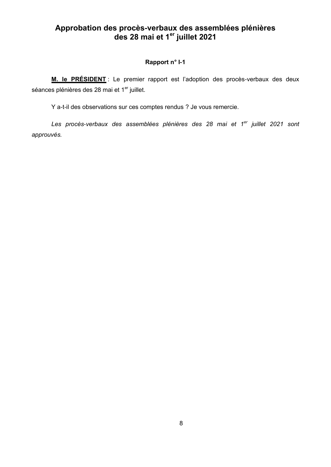## Approbation des procès-verbaux des assemblées plénières<br>des 28 mai et 1<sup>er</sup> juillet 2021

#### Rapport n° I-1

M. le PRÉSIDENT : Le premier rapport est l'adoption des procès-verbaux des deux séances plénières des 28 mai et 1<sup>er</sup> juillet.

Y a-t-il des observations sur ces comptes rendus ? Je vous remercie.

Les procès-verbaux des assemblées plénières des 28 mai et 1<sup>er</sup> juillet 2021 sont approuvés.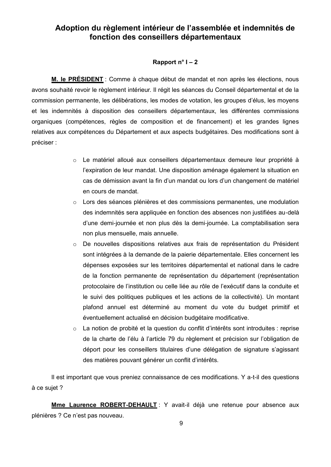### Adoption du règlement intérieur de l'assemblée et indemnités de fonction des conseillers départementaux

#### Rapport  $n^{\circ}$  I – 2

M. le PRÉSIDENT : Comme à chaque début de mandat et non après les élections, nous avons souhaité revoir le règlement intérieur. Il régit les séances du Conseil départemental et de la commission permanente, les délibérations, les modes de votation, les groupes d'élus, les moyens et les indemnités à disposition des conseillers départementaux, les différentes commissions organiques (compétences, règles de composition et de financement) et les grandes lignes relatives aux compétences du Département et aux aspects budgétaires. Des modifications sont à préciser :

- o Le matériel alloué aux conseillers départementaux demeure leur propriété à l'expiration de leur mandat. Une disposition aménage également la situation en cas de démission avant la fin d'un mandat ou lors d'un changement de matériel en cours de mandat.
- Lors des séances plénières et des commissions permanentes, une modulation des indemnités sera appliquée en fonction des absences non justifiées au-delà d'une demi-journée et non plus dès la demi-journée. La comptabilisation sera non plus mensuelle, mais annuelle.
- o De nouvelles dispositions relatives aux frais de représentation du Président sont intégrées à la demande de la paierie départementale. Elles concernent les dépenses exposées sur les territoires départemental et national dans le cadre de la fonction permanente de représentation du département (représentation protocolaire de l'institution ou celle liée au rôle de l'exécutif dans la conduite et le suivi des politiques publiques et les actions de la collectivité). Un montant plafond annuel est déterminé au moment du vote du budget primitif et éventuellement actualisé en décision budgétaire modificative.
- $\circ$ La notion de probité et la question du conflit d'intérêts sont introduites : reprise de la charte de l'élu à l'article 79 du règlement et précision sur l'obligation de déport pour les conseillers titulaires d'une délégation de signature s'agissant des matières pouvant générer un conflit d'intérêts.

Il est important que vous preniez connaissance de ces modifications. Y a-t-il des questions à ce suiet ?

Mme Laurence ROBERT-DEHAULT: Y avait-il déjà une retenue pour absence aux plénières ? Ce n'est pas nouveau.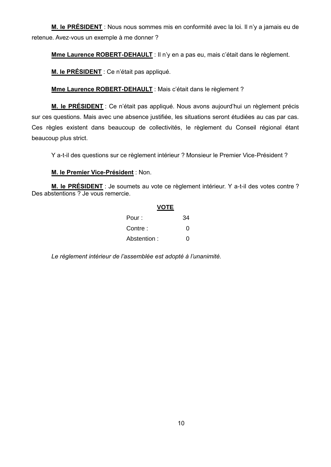M. le PRÉSIDENT : Nous nous sommes mis en conformité avec la loi. Il n'y a jamais eu de retenue. Avez-vous un exemple à me donner ?

Mme Laurence ROBERT-DEHAULT : Il n'y en a pas eu, mais c'était dans le règlement.

M. le PRÉSIDENT : Ce n'était pas appliqué.

Mme Laurence ROBERT-DEHAULT : Mais c'était dans le règlement ?

M. le PRÉSIDENT : Ce n'était pas appliqué. Nous avons aujourd'hui un règlement précis sur ces questions. Mais avec une absence justifiée, les situations seront étudiées au cas par cas. Ces règles existent dans beaucoup de collectivités, le règlement du Conseil régional étant beaucoup plus strict.

Y a-t-il des questions sur ce règlement intérieur ? Monsieur le Premier Vice-Président ?

#### M. le Premier Vice-Président : Non.

M. le PRÉSIDENT : Je soumets au vote ce règlement intérieur. Y a-t-il des votes contre ? Des abstentions ? Je vous remercie.

| <b>VOTE</b> |    |
|-------------|----|
| Pour :      | 34 |
| Contre :    | O  |
| Abstention: | O  |

Le règlement intérieur de l'assemblée est adopté à l'unanimité.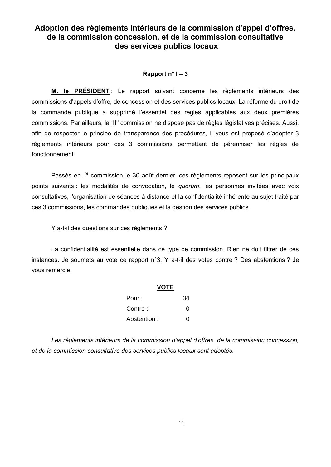## Adoption des règlements intérieurs de la commission d'appel d'offres. de la commission concession, et de la commission consultative des services publics locaux

#### Rapport  $n^{\circ}$  I – 3

M. le PRÉSIDENT : Le rapport suivant concerne les règlements intérieurs des commissions d'appels d'offre, de concession et des services publics locaux. La réforme du droit de la commande publique a supprimé l'essentiel des règles applicables aux deux premières commissions. Par ailleurs, la III<sup>e</sup> commission ne dispose pas de règles législatives précises. Aussi, afin de respecter le principe de transparence des procédures, il vous est proposé d'adopter 3 règlements intérieurs pour ces 3 commissions permettant de pérenniser les règles de fonctionnement.

Passés en l<sup>re</sup> commission le 30 août dernier, ces règlements reposent sur les principaux points suivants : les modalités de convocation, le quorum, les personnes invitées avec voix consultatives, l'organisation de séances à distance et la confidentialité inhérente au sujet traité par ces 3 commissions, les commandes publiques et la gestion des services publics.

Y a-t-il des questions sur ces règlements ?

La confidentialité est essentielle dans ce type de commission. Rien ne doit filtrer de ces instances. Je soumets au vote ce rapport n°3. Y a-t-il des votes contre ? Des abstentions ? Je vous remercie.

| VOTE         |    |
|--------------|----|
| Pour :       | 34 |
| Contre :     | O  |
| Abstention : | 0  |

Les règlements intérieurs de la commission d'appel d'offres, de la commission concession, et de la commission consultative des services publics locaux sont adoptés.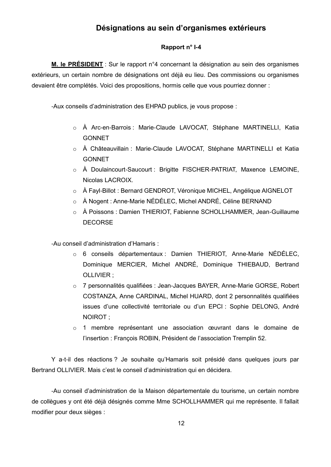## Désignations au sein d'organismes extérieurs

#### Rapport n° I-4

M. le PRÉSIDENT : Sur le rapport n°4 concernant la désignation au sein des organismes extérieurs, un certain nombre de désignations ont déjà eu lieu. Des commissions ou organismes devaient être complétés. Voici des propositions, hormis celle que vous pourriez donner :

-Aux conseils d'administration des EHPAD publics, je vous propose :

- o À Arc-en-Barrois : Marie-Claude LAVOCAT, Stéphane MARTINELLI, Katia **GONNET**
- o À Châteauvillain : Marie-Claude LAVOCAT, Stéphane MARTINELLI et Katia **GONNET**
- o À Doulaincourt-Saucourt : Brigitte FISCHER-PATRIAT, Maxence LEMOINE, Nicolas LACROIX.
- À Fayl-Billot : Bernard GENDROT, Véronique MICHEL, Angélique AIGNELOT
- o À Nogent : Anne-Marie NÉDÉLEC, Michel ANDRÉ, Céline BERNAND
- À Poissons : Damien THIERIOT, Fabienne SCHOLLHAMMER, Jean-Guillaume **DECORSE**

-Au conseil d'administration d'Hamaris :

- o 6 conseils départementaux : Damien THIERIOT, Anne-Marie NÉDÉLEC, Dominique MERCIER, Michel ANDRÉ, Dominique THIEBAUD, Bertrand OLLIVIER;
- 7 personnalités qualifiées : Jean-Jacques BAYER, Anne-Marie GORSE, Robert COSTANZA. Anne CARDINAL. Michel HUARD, dont 2 personnalités qualifiées issues d'une collectivité territoriale ou d'un EPCI : Sophie DELONG, André NOIROT:
- o 1 membre représentant une association œuvrant dans le domaine de l'insertion : François ROBIN, Président de l'association Tremplin 52.

Y a-t-il des réactions ? Je souhaite qu'Hamaris soit présidé dans quelques jours par Bertrand OLLIVIER. Mais c'est le conseil d'administration qui en décidera.

-Au conseil d'administration de la Maison départementale du tourisme, un certain nombre de collègues y ont été déjà désignés comme Mme SCHOLLHAMMER qui me représente. Il fallait modifier pour deux sièges :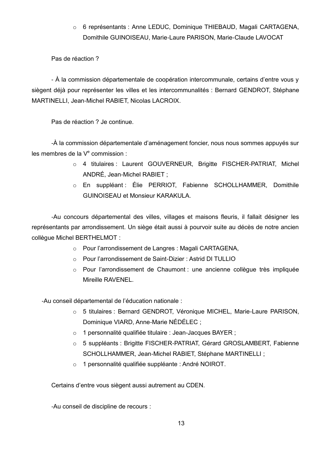o 6 représentants : Anne LEDUC, Dominique THIEBAUD, Magali CARTAGENA, Domithile GUINOISEAU, Marie-Laure PARISON, Marie-Claude LAVOCAT

#### Pas de réaction ?

- À la commission départementale de coopération intercommunale, certains d'entre vous y siègent déjà pour représenter les villes et les intercommunalités : Bernard GENDROT, Stéphane MARTINELLI, Jean-Michel RABIET, Nicolas LACROIX.

Pas de réaction ? Je continue.

-À la commission départementale d'aménagement foncier, nous nous sommes appuyés sur les membres de la  $V<sup>e</sup>$  commission :

- o 4 titulaires : Laurent GOUVERNEUR, Brigitte FISCHER-PATRIAT, Michel ANDRÉ, Jean-Michel RABIET ;
- o En suppléant : Élie PERRIOT, Fabienne SCHOLLHAMMER, Domithile **GUINOISEAU et Monsieur KARAKULA.**

-Au concours départemental des villes, villages et maisons fleuris, il fallait désigner les représentants par arrondissement. Un siège était aussi à pourvoir suite au décès de notre ancien collègue Michel BERTHELMOT :

- o Pour l'arrondissement de Langres : Magali CARTAGENA,
- Pour l'arrondissement de Saint-Dizier : Astrid DI TULLIO
- o Pour l'arrondissement de Chaumont : une ancienne collègue très impliquée Mireille RAVENEL.

-Au conseil départemental de l'éducation nationale :

- o 5 titulaires : Bernard GENDROT, Véronique MICHEL, Marie-Laure PARISON, Dominique VIARD, Anne-Marie NÉDÉLEC :
- o 1 personnalité qualifiée titulaire : Jean-Jacques BAYER ;
- o 5 suppléants : Brigitte FISCHER-PATRIAT, Gérard GROSLAMBERT, Fabienne SCHOLLHAMMER, Jean-Michel RABIET, Stéphane MARTINELLI ;
- o 1 personnalité qualifiée suppléante : André NOIROT.

Certains d'entre vous siègent aussi autrement au CDEN.

-Au conseil de discipline de recours :